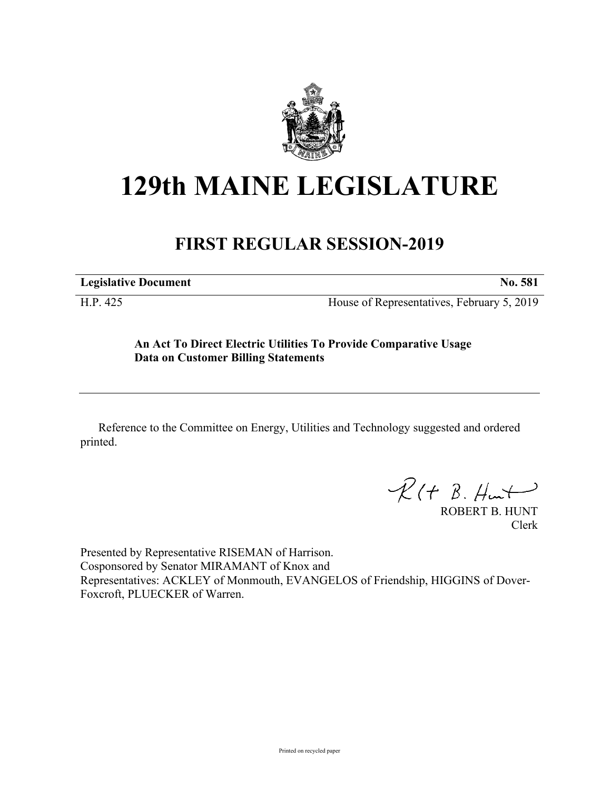

# **129th MAINE LEGISLATURE**

## **FIRST REGULAR SESSION-2019**

**Legislative Document No. 581**

H.P. 425 House of Representatives, February 5, 2019

### **An Act To Direct Electric Utilities To Provide Comparative Usage Data on Customer Billing Statements**

Reference to the Committee on Energy, Utilities and Technology suggested and ordered printed.

 $R(H B. H<sub>un</sub>+)$ 

ROBERT B. HUNT Clerk

Presented by Representative RISEMAN of Harrison. Cosponsored by Senator MIRAMANT of Knox and Representatives: ACKLEY of Monmouth, EVANGELOS of Friendship, HIGGINS of Dover-Foxcroft, PLUECKER of Warren.